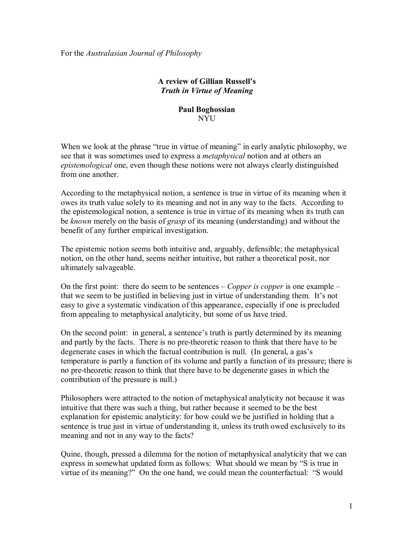For the *Australasian Journal of Philosophy*

## **A review of Gillian Russell's**  *Truth in Virtue of Meaning*

## **Paul Boghossian NYU**

When we look at the phrase "true in virtue of meaning" in early analytic philosophy, we see that it was sometimes used to express a *metaphysical* notion and at others an *epistemological* one, even though these notions were not always clearly distinguished from one another.

According to the metaphysical notion, a sentence is true in virtue of its meaning when it owes its truth value solely to its meaning and not in any way to the facts. According to the epistemological notion, a sentence is true in virtue of its meaning when its truth can be *known* merely on the basis of *grasp* of its meaning (understanding) and without the benefit of any further empirical investigation.

The epistemic notion seems both intuitive and, arguably, defensible; the metaphysical notion, on the other hand, seems neither intuitive, but rather a theoretical posit, nor ultimately salvageable.

On the first point: there do seem to be sentences – *Copper is copper* is one example – that we seem to be justified in believing just in virtue of understanding them. It's not easy to give a systematic vindication of this appearance, especially if one is precluded from appealing to metaphysical analyticity, but some of us have tried.

On the second point: in general, a sentence's truth is partly determined by its meaning and partly by the facts. There is no pre-theoretic reason to think that there have to be degenerate cases in which the factual contribution is null. (In general, a gas's temperature is partly a function of its volume and partly a function of its pressure; there is no pre-theoretic reason to think that there have to be degenerate gases in which the contribution of the pressure is null.)

Philosophers were attracted to the notion of metaphysical analyticity not because it was intuitive that there was such a thing, but rather because it seemed to be the best explanation for epistemic analyticity: for how could we be justified in holding that a sentence is true just in virtue of understanding it, unless its truth owed exclusively to its meaning and not in any way to the facts?

Quine, though, pressed a dilemma for the notion of metaphysical analyticity that we can express in somewhat updated form as follows: What should we mean by "S is true in virtue of its meaning?" On the one hand, we could mean the counterfactual: "S would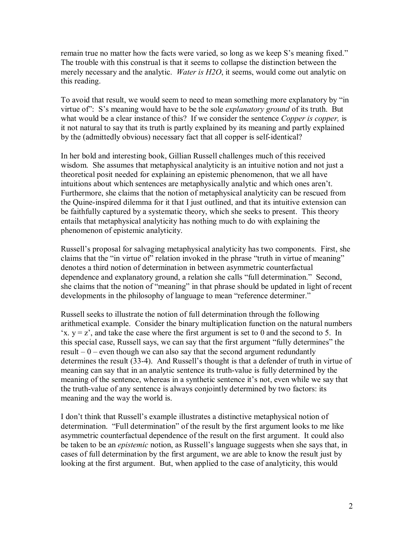remain true no matter how the facts were varied, so long as we keep S's meaning fixed." The trouble with this construal is that it seems to collapse the distinction between the merely necessary and the analytic. *Water is H2O*, it seems, would come out analytic on this reading.

To avoid that result, we would seem to need to mean something more explanatory by "in virtue of": S's meaning would have to be the sole *explanatory ground* of its truth. But what would be a clear instance of this? If we consider the sentence *Copper is copper,* is it not natural to say that its truth is partly explained by its meaning and partly explained by the (admittedly obvious) necessary fact that all copper is self-identical?

In her bold and interesting book, Gillian Russell challenges much of this received wisdom. She assumes that metaphysical analyticity is an intuitive notion and not just a theoretical posit needed for explaining an epistemic phenomenon, that we all have intuitions about which sentences are metaphysically analytic and which ones aren't. Furthermore, she claims that the notion of metaphysical analyticity can be rescued from the Quine-inspired dilemma for it that I just outlined, and that its intuitive extension can be faithfully captured by a systematic theory, which she seeks to present. This theory entails that metaphysical analyticity has nothing much to do with explaining the phenomenon of epistemic analyticity.

Russell's proposal for salvaging metaphysical analyticity has two components. First, she claims that the "in virtue of" relation invoked in the phrase "truth in virtue of meaning" denotes a third notion of determination in between asymmetric counterfactual dependence and explanatory ground, a relation she calls "full determination." Second, she claims that the notion of "meaning" in that phrase should be updated in light of recent developments in the philosophy of language to mean "reference determiner."

Russell seeks to illustrate the notion of full determination through the following arithmetical example. Consider the binary multiplication function on the natural numbers 'x.  $y = z'$ , and take the case where the first argument is set to 0 and the second to 5. In this special case, Russell says, we can say that the first argument "fully determines" the result  $-0$  – even though we can also say that the second argument redundantly determines the result (33-4). And Russell's thought is that a defender of truth in virtue of meaning can say that in an analytic sentence its truth-value is fully determined by the meaning of the sentence, whereas in a synthetic sentence it's not, even while we say that the truth-value of any sentence is always conjointly determined by two factors: its meaning and the way the world is.

I don't think that Russell's example illustrates a distinctive metaphysical notion of determination. "Full determination" of the result by the first argument looks to me like asymmetric counterfactual dependence of the result on the first argument. It could also be taken to be an *epistemic* notion, as Russell's language suggests when she says that, in cases of full determination by the first argument, we are able to know the result just by looking at the first argument. But, when applied to the case of analyticity, this would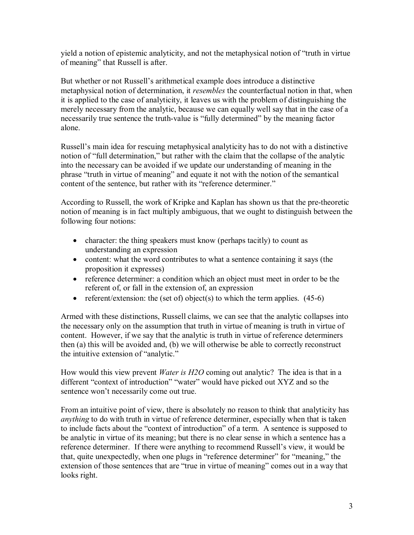yield a notion of epistemic analyticity, and not the metaphysical notion of "truth in virtue of meaning" that Russell is after.

But whether or not Russell's arithmetical example does introduce a distinctive metaphysical notion of determination, it *resembles* the counterfactual notion in that, when it is applied to the case of analyticity, it leaves us with the problem of distinguishing the merely necessary from the analytic, because we can equally well say that in the case of a necessarily true sentence the truth-value is "fully determined" by the meaning factor alone.

Russell's main idea for rescuing metaphysical analyticity has to do not with a distinctive notion of "full determination," but rather with the claim that the collapse of the analytic into the necessary can be avoided if we update our understanding of meaning in the phrase "truth in virtue of meaning" and equate it not with the notion of the semantical content of the sentence, but rather with its "reference determiner."

According to Russell, the work of Kripke and Kaplan has shown us that the pre-theoretic notion of meaning is in fact multiply ambiguous, that we ought to distinguish between the following four notions:

- character: the thing speakers must know (perhaps tacitly) to count as understanding an expression
- content: what the word contributes to what a sentence containing it says (the proposition it expresses)
- reference determiner: a condition which an object must meet in order to be the referent of, or fall in the extension of, an expression
- referent/extension: the (set of) object(s) to which the term applies.  $(45-6)$

Armed with these distinctions, Russell claims, we can see that the analytic collapses into the necessary only on the assumption that truth in virtue of meaning is truth in virtue of content. However, if we say that the analytic is truth in virtue of reference determiners then (a) this will be avoided and, (b) we will otherwise be able to correctly reconstruct the intuitive extension of "analytic."

How would this view prevent *Water is H2O* coming out analytic?The idea is that in a different "context of introduction" "water" would have picked out XYZ and so the sentence won't necessarily come out true.

From an intuitive point of view, there is absolutely no reason to think that analyticity has *anything* to do with truth in virtue of reference determiner, especially when that is taken to include facts about the "context of introduction" of a term. A sentence is supposed to be analytic in virtue of its meaning; but there is no clear sense in which a sentence has a reference determiner. If there were anything to recommend Russell's view, it would be that, quite unexpectedly, when one plugs in "reference determiner" for "meaning," the extension of those sentences that are "true in virtue of meaning" comes out in a way that looks right.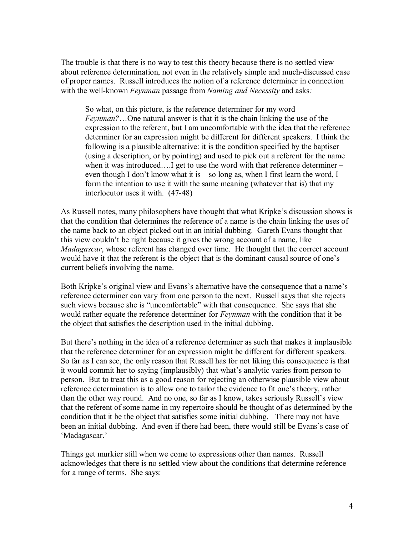The trouble is that there is no way to test this theory because there is no settled view about reference determination, not even in the relatively simple and much-discussed case of proper names. Russell introduces the notion of a reference determiner in connection with the well-known *Feynman* passage from *Naming and Necessity* and asks*:*

So what, on this picture, is the reference determiner for my word *Feynman?*…One natural answer is that it is the chain linking the use of the expression to the referent, but I am uncomfortable with the idea that the reference determiner for an expression might be different for different speakers. I think the following is a plausible alternative: it is the condition specified by the baptiser (using a description, or by pointing) and used to pick out a referent for the name when it was introduced....I get to use the word with that reference determiner – even though I don't know what it is – so long as, when I first learn the word, I form the intention to use it with the same meaning (whatever that is) that my interlocutor uses it with. (47-48)

As Russell notes, many philosophers have thought that what Kripke's discussion shows is that the condition that determines the reference of a name is the chain linking the uses of the name back to an object picked out in an initial dubbing. Gareth Evans thought that this view couldn't be right because it gives the wrong account of a name, like *Madagascar*, whose referent has changed over time. He thought that the correct account would have it that the referent is the object that is the dominant causal source of one's current beliefs involving the name.

Both Kripke's original view and Evans's alternative have the consequence that a name's reference determiner can vary from one person to the next. Russell says that she rejects such views because she is "uncomfortable" with that consequence. She says that she would rather equate the reference determiner for *Feynman* with the condition that it be the object that satisfies the description used in the initial dubbing.

But there's nothing in the idea of a reference determiner as such that makes it implausible that the reference determiner for an expression might be different for different speakers. So far as I can see, the only reason that Russell has for not liking this consequence is that it would commit her to saying (implausibly) that what's analytic varies from person to person. But to treat this as a good reason for rejecting an otherwise plausible view about reference determination is to allow one to tailor the evidence to fit one's theory, rather than the other way round. And no one, so far as I know, takes seriously Russell's view that the referent of some name in my repertoire should be thought of as determined by the condition that it be the object that satisfies some initial dubbing. There may not have been an initial dubbing. And even if there had been, there would still be Evans's case of 'Madagascar.'

Things get murkier still when we come to expressions other than names. Russell acknowledges that there is no settled view about the conditions that determine reference for a range of terms. She says: